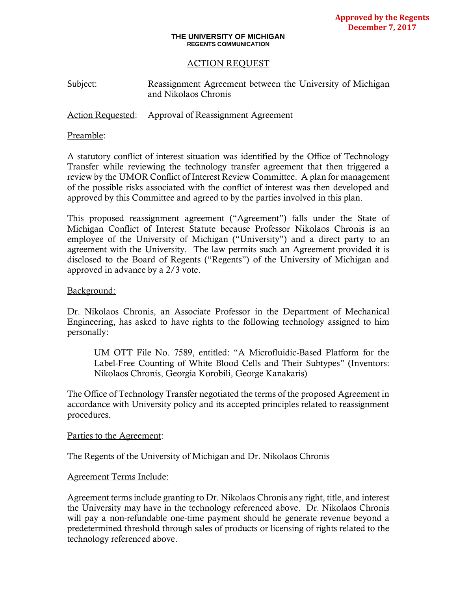#### **THE UNIVERSITY OF MICHIGAN REGENTS COMMUNICATION**

### ACTION REQUEST

Subject: Reassignment Agreement between the University of Michigan and Nikolaos Chronis

Action Requested: Approval of Reassignment Agreement

### Preamble:

A statutory conflict of interest situation was identified by the Office of Technology Transfer while reviewing the technology transfer agreement that then triggered a review by the UMOR Conflict of Interest Review Committee. A plan for management of the possible risks associated with the conflict of interest was then developed and approved by this Committee and agreed to by the parties involved in this plan.

This proposed reassignment agreement ("Agreement") falls under the State of Michigan Conflict of Interest Statute because Professor Nikolaos Chronis is an employee of the University of Michigan ("University") and a direct party to an agreement with the University. The law permits such an Agreement provided it is disclosed to the Board of Regents ("Regents") of the University of Michigan and approved in advance by a 2/3 vote.

### Background:

Dr. Nikolaos Chronis, an Associate Professor in the Department of Mechanical Engineering, has asked to have rights to the following technology assigned to him personally:

UM OTT File No. 7589, entitled: "A Microfluidic-Based Platform for the Label-Free Counting of White Blood Cells and Their Subtypes" (Inventors: Nikolaos Chronis, Georgia Korobili, George Kanakaris)

The Office of Technology Transfer negotiated the terms of the proposed Agreement in accordance with University policy and its accepted principles related to reassignment procedures.

### Parties to the Agreement:

The Regents of the University of Michigan and Dr. Nikolaos Chronis

### Agreement Terms Include:

Agreement terms include granting to Dr. Nikolaos Chronis any right, title, and interest the University may have in the technology referenced above. Dr. Nikolaos Chronis will pay a non-refundable one-time payment should he generate revenue beyond a predetermined threshold through sales of products or licensing of rights related to the technology referenced above.